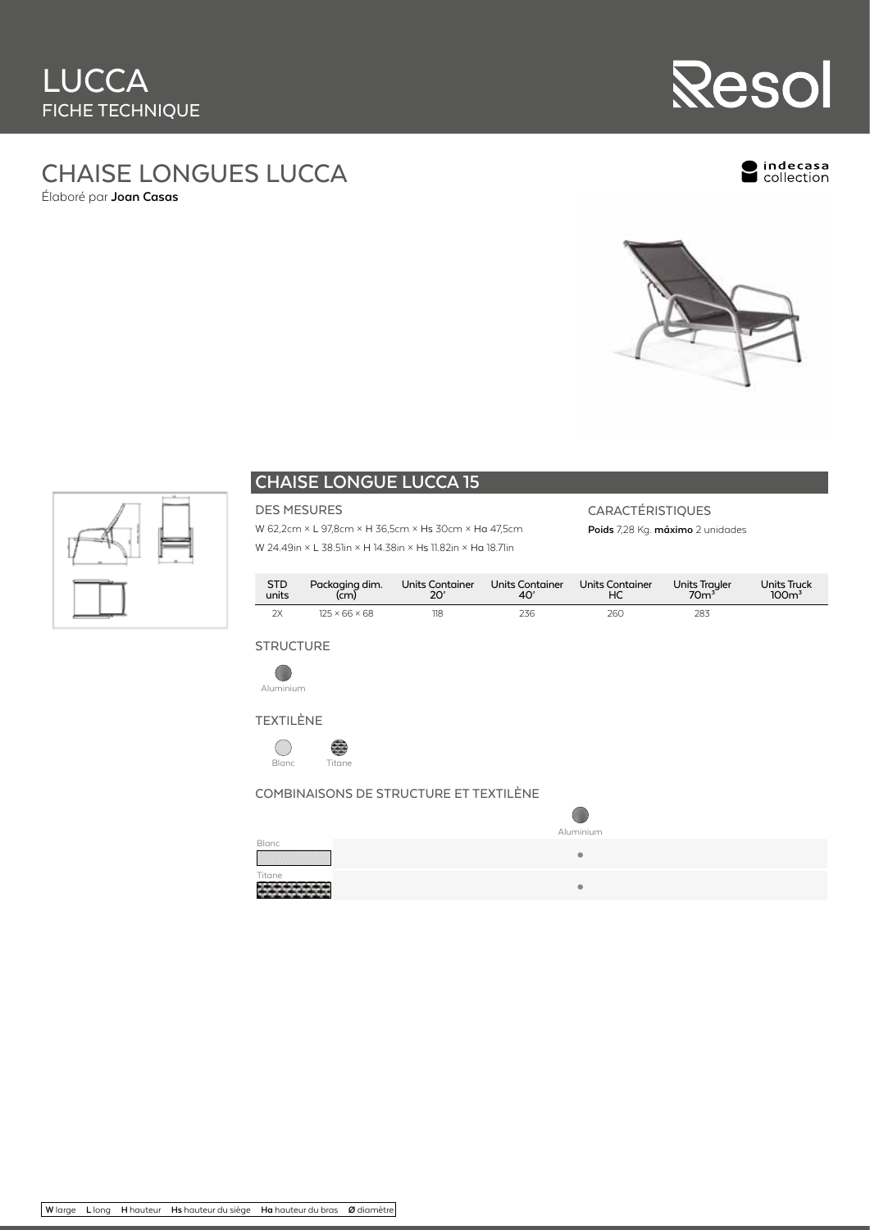

# CHAISE LONGUES LUCCA

Élaboré par **Joan Casas**

Indecasa<br>Collection





# **CHAISE LONGUE LUCCA 15**

DES MESURES

### W 62,2cm × L 97,8cm × H 36,5cm × Hs 30cm × Ha 47,5cm W 24.49in × L 38.51in × H 14.38in × Hs 11.82in × Ha 18.71in

# CARACTÉRISTIQUES

**Poids** 7,28 Kg. **máximo** 2 unidades

| STD<br>units | Packaging dim.<br>(cm)    | Units Container<br>20' | Units Container<br>40' | Units Container | Units Trayler<br>70m <sup>3</sup> | Units Truck<br>100 <sup>3</sup> |
|--------------|---------------------------|------------------------|------------------------|-----------------|-----------------------------------|---------------------------------|
| 2X           | $125 \times 66 \times 68$ | 118                    | 236                    | 260             | 283                               |                                 |

#### **STRUCTURE**









# COMBINAISONS DE STRUCTURE ET TEXTILÈNE

|              | Aluminium |
|--------------|-----------|
| <b>Blanc</b> |           |
|              | ۰         |
| Titane       |           |
|              | ٥         |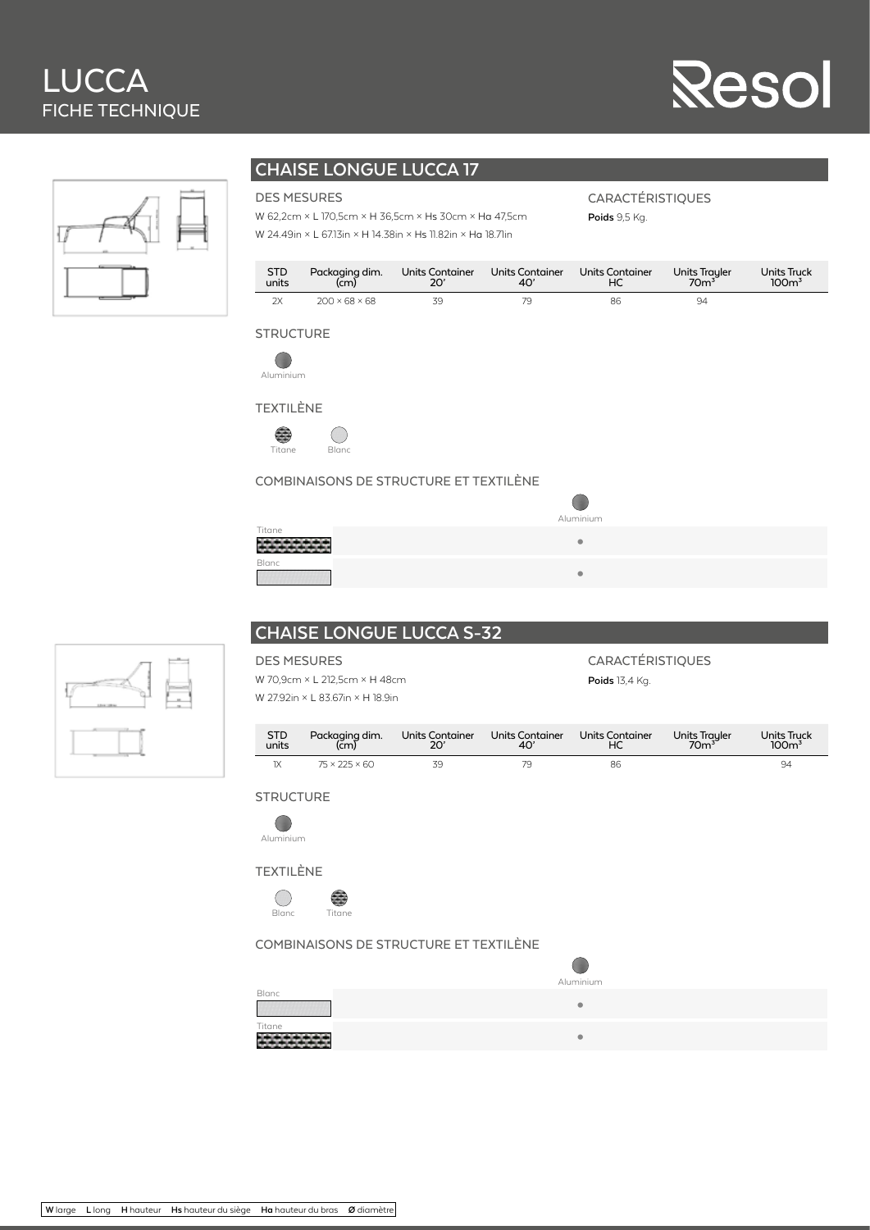# LUCCA FICHE TECHNIQUE

# **Resol**



# **CHAISE LONGUE LUCCA 17**

#### DES MESURES

W 62,2cm × L 170,5cm × H 36,5cm × Hs 30cm × Ha 47,5cm W 24.49in × L 67.13in × H 14.38in × Hs 11.82in × Ha 18.71in

CARACTÉRISTIQUES

**Poids** 9,5 Kg.

| <b>STD</b> | Packaging dim.            | Units Container | Units Container | Units Container | Units Trayler<br>70m <sup>3</sup> | Units Truck      |
|------------|---------------------------|-----------------|-----------------|-----------------|-----------------------------------|------------------|
| units      | (cm)                      | 20'             | 40'             | НC              |                                   | 100 <sup>3</sup> |
| 2x         | $200 \times 68 \times 68$ | 70              |                 | 86              | 94                                |                  |

## **STRUCTURE**



TEXTILÈNE



#### COMBINAISONS DE STRUCTURE ET TEXTILÈNE

| .         |  |
|-----------|--|
| Aluminium |  |
|           |  |
|           |  |

| Titane |  |
|--------|--|
| Blanc  |  |

| 13 |  |
|----|--|
|    |  |

# **CHAISE LONGUE LUCCA S-32**

| <b>DES MESURES</b>            |                                  |                        |                        | <b>CARACTÉRISTIQUES</b> |                                   |                                 |
|-------------------------------|----------------------------------|------------------------|------------------------|-------------------------|-----------------------------------|---------------------------------|
| W 70,9cm × L 212,5cm × H 48cm |                                  |                        |                        | <b>Poids</b> 13.4 Kg.   |                                   |                                 |
|                               | W 27.92in × L 83.67in × H 18.9in |                        |                        |                         |                                   |                                 |
| <b>STD</b><br>units           | Packaging dim.<br>(čm)           | Units Container<br>20' | Units Container<br>40' | Units Container<br>НC   | Units Trayler<br>70m <sup>3</sup> | Units Truck<br>100 <sup>3</sup> |

1X 75 × 225 × 60 39 79 86 94

**STRUCTURE** 



TEXTILÈNE



#### COMBINAISONS DE STRUCTURE ET TEXTILÈNE

|        | Aluminium |
|--------|-----------|
| Blanc  | ۰         |
| Titane | $\bullet$ |